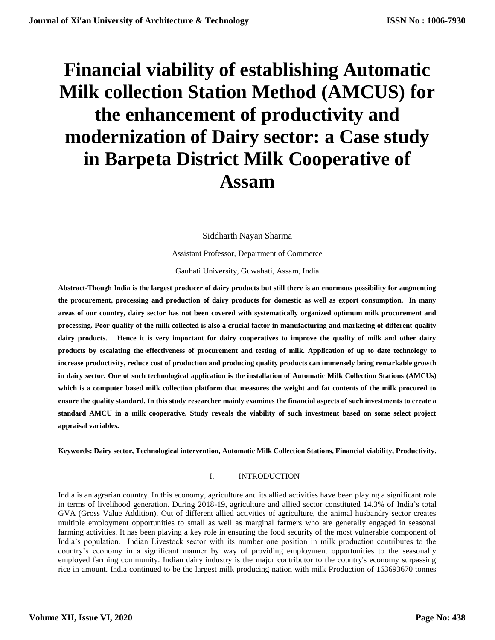# **Financial viability of establishing Automatic Milk collection Station Method (AMCUS) for the enhancement of productivity and modernization of Dairy sector: a Case study in Barpeta District Milk Cooperative of Assam**

Siddharth Nayan Sharma

Assistant Professor, Department of Commerce

Gauhati University, Guwahati, Assam, India

**Abstract-Though India is the largest producer of dairy products but still there is an enormous possibility for augmenting the procurement, processing and production of dairy products for domestic as well as export consumption. In many areas of our country, dairy sector has not been covered with systematically organized optimum milk procurement and processing. Poor quality of the milk collected is also a crucial factor in manufacturing and marketing of different quality dairy products. Hence it is very important for dairy cooperatives to improve the quality of milk and other dairy products by escalating the effectiveness of procurement and testing of milk. Application of up to date technology to increase productivity, reduce cost of production and producing quality products can immensely bring remarkable growth in dairy sector. One of such technological application is the installation of Automatic Milk Collection Stations (AMCUs) which is a computer based milk collection platform that measures the weight and fat contents of the milk procured to ensure the quality standard. In this study researcher mainly examines the financial aspects of such investments to create a standard AMCU in a milk cooperative. Study reveals the viability of such investment based on some select project appraisal variables.**

**Keywords: Dairy sector, Technological intervention, Automatic Milk Collection Stations, Financial viability, Productivity.**

## I. INTRODUCTION

India is an agrarian country. In this economy, agriculture and its allied activities have been playing a significant role in terms of livelihood generation. During 2018-19, agriculture and allied sector constituted 14.3% of India's total GVA (Gross Value Addition). Out of different allied activities of agriculture, the animal husbandry sector creates multiple employment opportunities to small as well as marginal farmers who are generally engaged in seasonal farming activities. It has been playing a key role in ensuring the food security of the most vulnerable component of India's population. Indian Livestock sector with its number one position in milk production contributes to the country's economy in a significant manner by way of providing employment opportunities to the seasonally employed farming community. Indian dairy industry is the major contributor to the country's economy surpassing rice in amount. India continued to be the largest milk producing nation with milk Production of 163693670 tonnes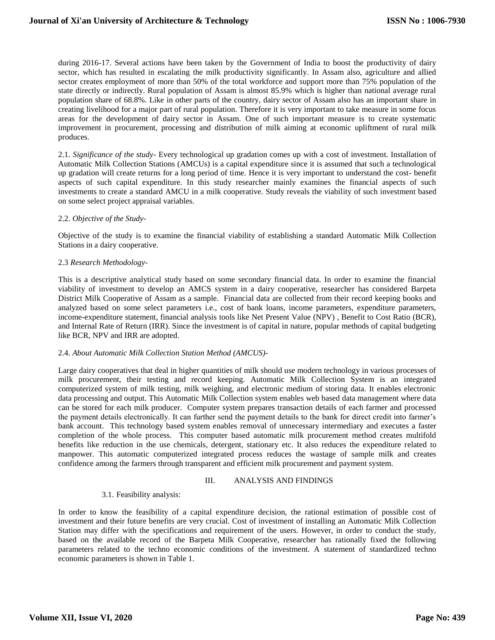during 2016-17. Several actions have been taken by the Government of India to boost the productivity of dairy sector, which has resulted in escalating the milk productivity significantly. In Assam also, agriculture and allied sector creates employment of more than 50% of the total workforce and support more than 75% population of the state directly or indirectly. Rural population of Assam is almost 85.9% which is higher than national average rural population share of 68.8%. Like in other parts of the country, dairy sector of Assam also has an important share in creating livelihood for a major part of rural population. Therefore it is very important to take measure in some focus areas for the development of dairy sector in Assam. One of such important measure is to create systematic improvement in procurement, processing and distribution of milk aiming at economic upliftment of rural milk produces.

2.1. *Significance of the study*- Every technological up gradation comes up with a cost of investment. Installation of Automatic Milk Collection Stations (AMCUs) is a capital expenditure since it is assumed that such a technological up gradation will create returns for a long period of time. Hence it is very important to understand the cost- benefit aspects of such capital expenditure. In this study researcher mainly examines the financial aspects of such investments to create a standard AMCU in a milk cooperative. Study reveals the viability of such investment based on some select project appraisal variables.

### 2.2. *Objective of the Study-*

Objective of the study is to examine the financial viability of establishing a standard Automatic Milk Collection Stations in a dairy cooperative.

### 2.3 *Research Methodology-*

This is a descriptive analytical study based on some secondary financial data. In order to examine the financial viability of investment to develop an AMCS system in a dairy cooperative, researcher has considered Barpeta District Milk Cooperative of Assam as a sample. Financial data are collected from their record keeping books and analyzed based on some select parameters i.e., cost of bank loans, income parameters, expenditure parameters, income-expenditure statement, financial analysis tools like Net Present Value (NPV) , Benefit to Cost Ratio (BCR), and Internal Rate of Return (IRR). Since the investment is of capital in nature, popular methods of capital budgeting like BCR, NPV and IRR are adopted.

### 2.4. *About Automatic Milk Collection Station Method (AMCUS)-*

Large dairy cooperatives that deal in higher quantities of milk should use modern technology in various processes of milk procurement, their testing and record keeping. Automatic Milk Collection System is an integrated computerized system of milk testing, milk weighing, and electronic medium of storing data. It enables electronic data processing and output. This Automatic Milk Collection system enables web based data management where data can be stored for each milk producer. Computer system prepares transaction details of each farmer and processed the payment details electronically. It can further send the payment details to the bank for direct credit into farmer's bank account. This technology based system enables removal of unnecessary intermediary and executes a faster completion of the whole process. This computer based automatic milk procurement method creates multifold benefits like reduction in the use chemicals, detergent, stationary etc. It also reduces the expenditure related to manpower. This automatic computerized integrated process reduces the wastage of sample milk and creates confidence among the farmers through transparent and efficient milk procurement and payment system.

## III. ANALYSIS AND FINDINGS

## 3.1. Feasibility analysis:

In order to know the feasibility of a capital expenditure decision, the rational estimation of possible cost of investment and their future benefits are very crucial. Cost of investment of installing an Automatic Milk Collection Station may differ with the specifications and requirement of the users. However, in order to conduct the study, based on the available record of the Barpeta Milk Cooperative, researcher has rationally fixed the following parameters related to the techno economic conditions of the investment. A statement of standardized techno economic parameters is shown in Table 1.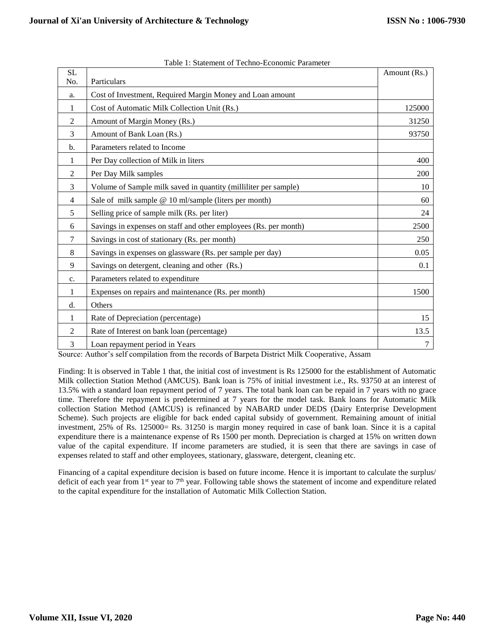| <b>SL</b>      |                                                                  | Amount (Rs.) |
|----------------|------------------------------------------------------------------|--------------|
| No.            | Particulars                                                      |              |
| a.             | Cost of Investment, Required Margin Money and Loan amount        |              |
| 1              | Cost of Automatic Milk Collection Unit (Rs.)                     | 125000       |
| 2              | Amount of Margin Money (Rs.)                                     | 31250        |
| 3              | Amount of Bank Loan (Rs.)                                        | 93750        |
| $b$            | Parameters related to Income                                     |              |
| 1              | Per Day collection of Milk in liters                             | 400          |
| 2              | Per Day Milk samples                                             | 200          |
| 3              | Volume of Sample milk saved in quantity (milliliter per sample)  | 10           |
| $\overline{4}$ | Sale of milk sample @ 10 ml/sample (liters per month)            | 60           |
| 5              | Selling price of sample milk (Rs. per liter)                     | 24           |
| 6              | Savings in expenses on staff and other employees (Rs. per month) | 2500         |
| 7              | Savings in cost of stationary (Rs. per month)                    | 250          |
| 8              | Savings in expenses on glassware (Rs. per sample per day)        | 0.05         |
| 9              | Savings on detergent, cleaning and other (Rs.)                   | 0.1          |
| c.             | Parameters related to expenditure                                |              |
| 1              | Expenses on repairs and maintenance (Rs. per month)              | 1500         |
| d.             | Others                                                           |              |
| 1              | Rate of Depreciation (percentage)                                | 15           |
| $\overline{2}$ | Rate of Interest on bank loan (percentage)                       | 13.5         |
| 3              | Loan repayment period in Years                                   | 7            |

Source: Author's self compilation from the records of Barpeta District Milk Cooperative, Assam

Finding: It is observed in Table 1 that, the initial cost of investment is Rs 125000 for the establishment of Automatic Milk collection Station Method (AMCUS). Bank loan is 75% of initial investment i.e., Rs. 93750 at an interest of 13.5% with a standard loan repayment period of 7 years. The total bank loan can be repaid in 7 years with no grace time. Therefore the repayment is predetermined at 7 years for the model task. Bank loans for Automatic Milk collection Station Method (AMCUS) is refinanced by NABARD under DEDS (Dairy Enterprise Development Scheme). Such projects are eligible for back ended capital subsidy of government. Remaining amount of initial investment, 25% of Rs. 125000= Rs. 31250 is margin money required in case of bank loan. Since it is a capital expenditure there is a maintenance expense of Rs 1500 per month. Depreciation is charged at 15% on written down value of the capital expenditure. If income parameters are studied, it is seen that there are savings in case of expenses related to staff and other employees, stationary, glassware, detergent, cleaning etc.

Financing of a capital expenditure decision is based on future income. Hence it is important to calculate the surplus/ deficit of each year from 1<sup>st</sup> year to 7<sup>th</sup> year. Following table shows the statement of income and expenditure related to the capital expenditure for the installation of Automatic Milk Collection Station.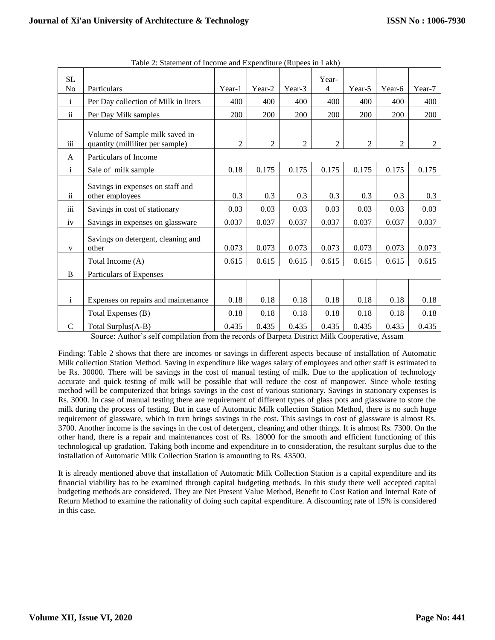| SL                      |                                                                    |                |                |        | Year-          |                |                |                |
|-------------------------|--------------------------------------------------------------------|----------------|----------------|--------|----------------|----------------|----------------|----------------|
| No                      | Particulars                                                        | Year-1         | Year-2         | Year-3 | $\overline{4}$ | Year-5         | Year-6         | Year-7         |
| $\mathbf{i}$            | Per Day collection of Milk in liters                               | 400            | 400            | 400    | 400            | 400            | 400            | 400            |
| $\overline{\mathbf{u}}$ | Per Day Milk samples                                               | 200            | 200            | 200    | 200            | 200            | 200            | 200            |
| iii                     | Volume of Sample milk saved in<br>quantity (milliliter per sample) | $\overline{2}$ | $\overline{2}$ | 2      | $\overline{2}$ | $\overline{2}$ | $\overline{2}$ | $\overline{c}$ |
| A                       | Particulars of Income                                              |                |                |        |                |                |                |                |
| $\mathbf{i}$            | Sale of milk sample                                                | 0.18           | 0.175          | 0.175  | 0.175          | 0.175          | 0.175          | 0.175          |
| $\mathbf{ii}$           | Savings in expenses on staff and<br>other employees                | 0.3            | 0.3            | 0.3    | 0.3            | 0.3            | 0.3            | 0.3            |
| iii                     | Savings in cost of stationary                                      | 0.03           | 0.03           | 0.03   | 0.03           | 0.03           | 0.03           | 0.03           |
| iv                      | Savings in expenses on glassware                                   | 0.037          | 0.037          | 0.037  | 0.037          | 0.037          | 0.037          | 0.037          |
| $\mathbf{V}$            | Savings on detergent, cleaning and<br>other                        | 0.073          | 0.073          | 0.073  | 0.073          | 0.073          | 0.073          | 0.073          |
|                         | Total Income (A)                                                   | 0.615          | 0.615          | 0.615  | 0.615          | 0.615          | 0.615          | 0.615          |
| B                       | Particulars of Expenses                                            |                |                |        |                |                |                |                |
|                         |                                                                    |                |                |        |                |                |                |                |
| $\rm i$                 | Expenses on repairs and maintenance                                | 0.18           | 0.18           | 0.18   | 0.18           | 0.18           | 0.18           | 0.18           |
|                         | Total Expenses (B)                                                 | 0.18           | 0.18           | 0.18   | 0.18           | 0.18           | 0.18           | 0.18           |
| $\mathbf C$             | Total Surplus(A-B)                                                 | 0.435          | 0.435          | 0.435  | 0.435          | 0.435          | 0.435          | 0.435          |

Table 2: Statement of Income and Expenditure (Rupees in Lakh)

Source: Author's self compilation from the records of Barpeta District Milk Cooperative, Assam

Finding: Table 2 shows that there are incomes or savings in different aspects because of installation of Automatic Milk collection Station Method. Saving in expenditure like wages salary of employees and other staff is estimated to be Rs. 30000. There will be savings in the cost of manual testing of milk. Due to the application of technology accurate and quick testing of milk will be possible that will reduce the cost of manpower. Since whole testing method will be computerized that brings savings in the cost of various stationary. Savings in stationary expenses is Rs. 3000. In case of manual testing there are requirement of different types of glass pots and glassware to store the milk during the process of testing. But in case of Automatic Milk collection Station Method, there is no such huge requirement of glassware, which in turn brings savings in the cost. This savings in cost of glassware is almost Rs. 3700. Another income is the savings in the cost of detergent, cleaning and other things. It is almost Rs. 7300. On the other hand, there is a repair and maintenances cost of Rs. 18000 for the smooth and efficient functioning of this technological up gradation. Taking both income and expenditure in to consideration, the resultant surplus due to the installation of Automatic Milk Collection Station is amounting to Rs. 43500.

It is already mentioned above that installation of Automatic Milk Collection Station is a capital expenditure and its financial viability has to be examined through capital budgeting methods. In this study there well accepted capital budgeting methods are considered. They are Net Present Value Method, Benefit to Cost Ration and Internal Rate of Return Method to examine the rationality of doing such capital expenditure. A discounting rate of 15% is considered in this case.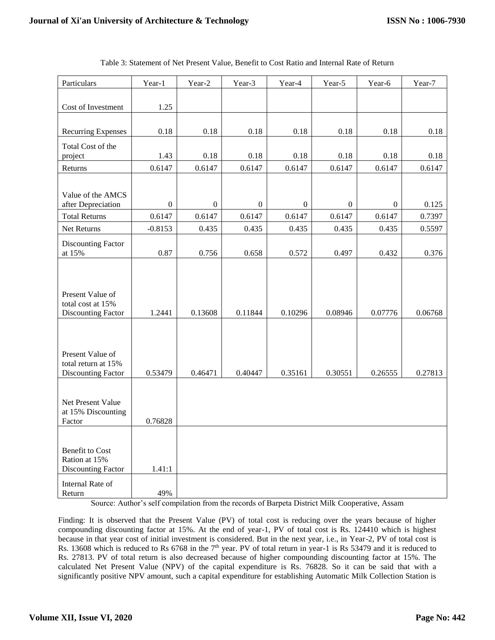| Particulars                                                        | Year-1           | Year-2           | Year-3         | Year-4           | Year-5           | Year-6           | Year-7  |
|--------------------------------------------------------------------|------------------|------------------|----------------|------------------|------------------|------------------|---------|
| Cost of Investment                                                 | 1.25             |                  |                |                  |                  |                  |         |
|                                                                    |                  |                  |                |                  |                  |                  |         |
| <b>Recurring Expenses</b>                                          | $0.18\,$         | 0.18             | 0.18           | $0.18\,$         | 0.18             | 0.18             | 0.18    |
| Total Cost of the                                                  |                  |                  |                |                  |                  |                  |         |
| project                                                            | 1.43             | 0.18             | 0.18           | 0.18             | 0.18             | 0.18             | 0.18    |
| Returns                                                            | 0.6147           | 0.6147           | 0.6147         | 0.6147           | 0.6147           | 0.6147           | 0.6147  |
| Value of the AMCS<br>after Depreciation                            | $\boldsymbol{0}$ | $\boldsymbol{0}$ | $\overline{0}$ | $\boldsymbol{0}$ | $\boldsymbol{0}$ | $\boldsymbol{0}$ | 0.125   |
| <b>Total Returns</b>                                               | 0.6147           | 0.6147           | 0.6147         | 0.6147           | 0.6147           | 0.6147           | 0.7397  |
| Net Returns                                                        | $-0.8153$        | 0.435            | 0.435          | 0.435            | 0.435            | 0.435            | 0.5597  |
| Discounting Factor<br>at 15%                                       | 0.87             | 0.756            | 0.658          | 0.572            | 0.497            | 0.432            | 0.376   |
| Present Value of<br>total cost at 15%<br><b>Discounting Factor</b> | 1.2441           | 0.13608          | 0.11844        | 0.10296          | 0.08946          | 0.07776          | 0.06768 |
| Present Value of<br>total return at 15%                            |                  |                  |                |                  |                  |                  |         |
| <b>Discounting Factor</b>                                          | 0.53479          | 0.46471          | 0.40447        | 0.35161          | 0.30551          | 0.26555          | 0.27813 |
| Net Present Value<br>at 15% Discounting<br>Factor                  | 0.76828          |                  |                |                  |                  |                  |         |
|                                                                    |                  |                  |                |                  |                  |                  |         |
| <b>Benefit to Cost</b><br>Ration at 15%<br>Discounting Factor      | 1.41:1           |                  |                |                  |                  |                  |         |
| Internal Rate of<br>Return                                         | 49%              |                  |                |                  |                  |                  |         |

Table 3: Statement of Net Present Value, Benefit to Cost Ratio and Internal Rate of Return

Source: Author's self compilation from the records of Barpeta District Milk Cooperative, Assam

Finding: It is observed that the Present Value (PV) of total cost is reducing over the years because of higher compounding discounting factor at 15%. At the end of year-1, PV of total cost is Rs. 124410 which is highest because in that year cost of initial investment is considered. But in the next year, i.e., in Year-2, PV of total cost is Rs. 13608 which is reduced to Rs 6768 in the 7<sup>th</sup> year. PV of total return in year-1 is Rs 53479 and it is reduced to Rs. 27813. PV of total return is also decreased because of higher compounding discounting factor at 15%. The calculated Net Present Value (NPV) of the capital expenditure is Rs. 76828. So it can be said that with a significantly positive NPV amount, such a capital expenditure for establishing Automatic Milk Collection Station is